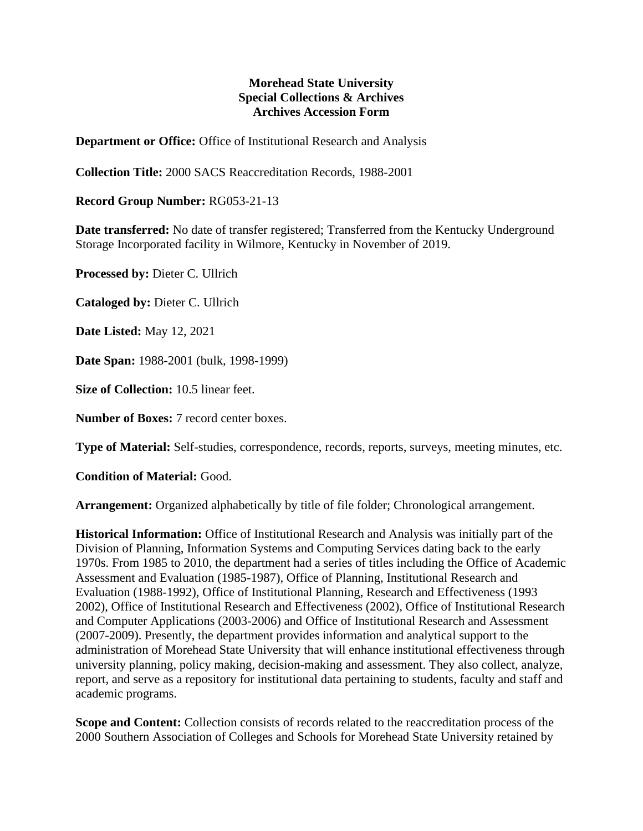## **Morehead State University Special Collections & Archives Archives Accession Form**

**Department or Office:** Office of Institutional Research and Analysis

**Collection Title:** 2000 SACS Reaccreditation Records, 1988-2001

**Record Group Number:** RG053-21-13

**Date transferred:** No date of transfer registered; Transferred from the Kentucky Underground Storage Incorporated facility in Wilmore, Kentucky in November of 2019.

**Processed by:** Dieter C. Ullrich

**Cataloged by:** Dieter C. Ullrich

**Date Listed:** May 12, 2021

**Date Span:** 1988-2001 (bulk, 1998-1999)

**Size of Collection:** 10.5 linear feet.

**Number of Boxes:** 7 record center boxes.

**Type of Material:** Self-studies, correspondence, records, reports, surveys, meeting minutes, etc.

**Condition of Material:** Good.

**Arrangement:** Organized alphabetically by title of file folder; Chronological arrangement.

**Historical Information:** Office of Institutional Research and Analysis was initially part of the Division of Planning, Information Systems and Computing Services dating back to the early 1970s. From 1985 to 2010, the department had a series of titles including the Office of Academic Assessment and Evaluation (1985-1987), Office of Planning, Institutional Research and Evaluation (1988-1992), Office of Institutional Planning, Research and Effectiveness (1993 2002), Office of Institutional Research and Effectiveness (2002), Office of Institutional Research and Computer Applications (2003-2006) and Office of Institutional Research and Assessment (2007-2009). Presently, the department provides information and analytical support to the administration of Morehead State University that will enhance institutional effectiveness through university planning, policy making, decision-making and assessment. They also collect, analyze, report, and serve as a repository for institutional data pertaining to students, faculty and staff and academic programs.

**Scope and Content:** Collection consists of records related to the reaccreditation process of the 2000 Southern Association of Colleges and Schools for Morehead State University retained by